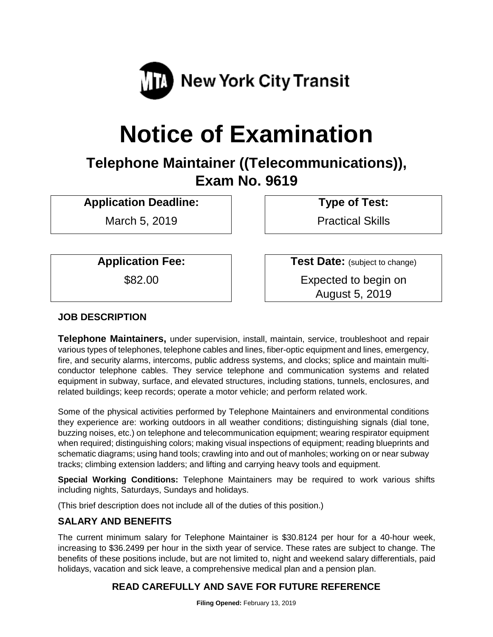

# **Notice of Examination**

## **Telephone Maintainer ((Telecommunications)), Exam No. 9619**

**Application Deadline: Type of Test:** 

March 5, 2019 | | | Practical Skills

**Application Fee: Test Date:** (subject to change)

\$82.00 Expected to begin on August 5, 2019

#### **JOB DESCRIPTION**

**Telephone Maintainers,** under supervision, install, maintain, service, troubleshoot and repair various types of telephones, telephone cables and lines, fiber-optic equipment and lines, emergency, fire, and security alarms, intercoms, public address systems, and clocks; splice and maintain multiconductor telephone cables. They service telephone and communication systems and related equipment in subway, surface, and elevated structures, including stations, tunnels, enclosures, and related buildings; keep records; operate a motor vehicle; and perform related work.

Some of the physical activities performed by Telephone Maintainers and environmental conditions they experience are: working outdoors in all weather conditions; distinguishing signals (dial tone, buzzing noises, etc.) on telephone and telecommunication equipment; wearing respirator equipment when required; distinguishing colors; making visual inspections of equipment; reading blueprints and schematic diagrams; using hand tools; crawling into and out of manholes; working on or near subway tracks; climbing extension ladders; and lifting and carrying heavy tools and equipment.

**Special Working Conditions:** Telephone Maintainers may be required to work various shifts including nights, Saturdays, Sundays and holidays.

(This brief description does not include all of the duties of this position.)

#### **SALARY AND BENEFITS**

The current minimum salary for Telephone Maintainer is \$30.8124 per hour for a 40-hour week, increasing to \$36.2499 per hour in the sixth year of service. These rates are subject to change. The benefits of these positions include, but are not limited to, night and weekend salary differentials, paid holidays, vacation and sick leave, a comprehensive medical plan and a pension plan.

### **READ CAREFULLY AND SAVE FOR FUTURE REFERENCE**

**Filing Opened:** February 13, 2019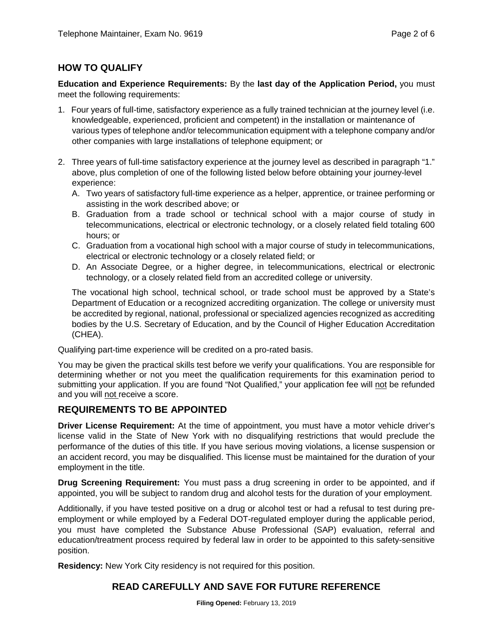### **HOW TO QUALIFY**

**Education and Experience Requirements:** By the **last day of the Application Period,** you must meet the following requirements:

- 1. Four years of full-time, satisfactory experience as a fully trained technician at the journey level (i.e. knowledgeable, experienced, proficient and competent) in the installation or maintenance of various types of telephone and/or telecommunication equipment with a telephone company and/or other companies with large installations of telephone equipment; or
- 2. Three years of full-time satisfactory experience at the journey level as described in paragraph "1." above, plus completion of one of the following listed below before obtaining your journey-level experience:
	- A. Two years of satisfactory full-time experience as a helper, apprentice, or trainee performing or assisting in the work described above; or
	- B. Graduation from a trade school or technical school with a major course of study in telecommunications, electrical or electronic technology, or a closely related field totaling 600 hours; or
	- C. Graduation from a vocational high school with a major course of study in telecommunications, electrical or electronic technology or a closely related field; or
	- D. An Associate Degree, or a higher degree, in telecommunications, electrical or electronic technology, or a closely related field from an accredited college or university.

The vocational high school, technical school, or trade school must be approved by a State's Department of Education or a recognized accrediting organization. The college or university must be accredited by regional, national, professional or specialized agencies recognized as accrediting bodies by the U.S. Secretary of Education, and by the Council of Higher Education Accreditation (CHEA).

Qualifying part-time experience will be credited on a pro-rated basis.

You may be given the practical skills test before we verify your qualifications. You are responsible for determining whether or not you meet the qualification requirements for this examination period to submitting your application. If you are found "Not Qualified," your application fee will not be refunded and you will not receive a score.

#### **REQUIREMENTS TO BE APPOINTED**

**Driver License Requirement:** At the time of appointment, you must have a motor vehicle driver's license valid in the State of New York with no disqualifying restrictions that would preclude the performance of the duties of this title. If you have serious moving violations, a license suspension or an accident record, you may be disqualified. This license must be maintained for the duration of your employment in the title.

**Drug Screening Requirement:** You must pass a drug screening in order to be appointed, and if appointed, you will be subject to random drug and alcohol tests for the duration of your employment.

Additionally, if you have tested positive on a drug or alcohol test or had a refusal to test during preemployment or while employed by a Federal DOT-regulated employer during the applicable period, you must have completed the Substance Abuse Professional (SAP) evaluation, referral and education/treatment process required by federal law in order to be appointed to this safety-sensitive position.

**Residency:** New York City residency is not required for this position.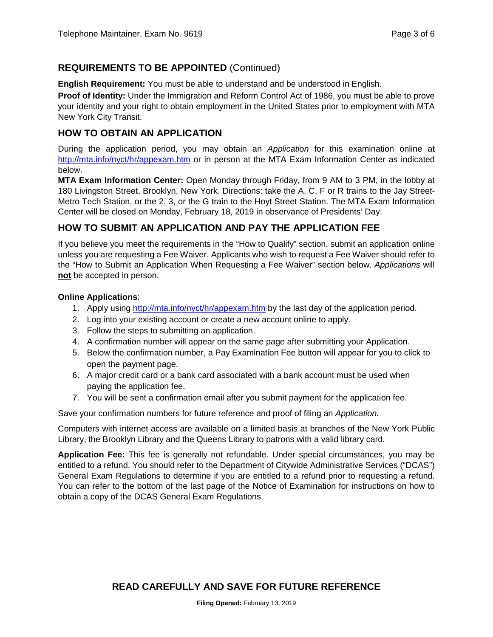#### **REQUIREMENTS TO BE APPOINTED** (Continued)

**English Requirement:** You must be able to understand and be understood in English.

**Proof of Identity:** Under the Immigration and Reform Control Act of 1986, you must be able to prove your identity and your right to obtain employment in the United States prior to employment with MTA New York City Transit.

#### **HOW TO OBTAIN AN APPLICATION**

During the application period, you may obtain an *Application* for this examination online at <http://mta.info/nyct/hr/appexam.htm> or in person at the MTA Exam Information Center as indicated below.

**MTA Exam Information Center:** Open Monday through Friday, from 9 AM to 3 PM, in the lobby at 180 Livingston Street, Brooklyn, New York. Directions: take the A, C, F or R trains to the Jay Street-Metro Tech Station, or the 2, 3, or the G train to the Hoyt Street Station. The MTA Exam Information Center will be closed on Monday, February 18, 2019 in observance of Presidents' Day.

#### **HOW TO SUBMIT AN APPLICATION AND PAY THE APPLICATION FEE**

If you believe you meet the requirements in the "How to Qualify" section, submit an application online unless you are requesting a Fee Waiver. Applicants who wish to request a Fee Waiver should refer to the "How to Submit an Application When Requesting a Fee Waiver" section below. *Applications* will **not** be accepted in person.

#### **Online Applications**:

- 1. Apply using<http://mta.info/nyct/hr/appexam.htm> by the last day of the application period.
- 2. Log into your existing account or create a new account online to apply.
- 3. Follow the steps to submitting an application.
- 4. A confirmation number will appear on the same page after submitting your Application.
- 5. Below the confirmation number, a Pay Examination Fee button will appear for you to click to open the payment page.
- 6. A major credit card or a bank card associated with a bank account must be used when paying the application fee.
- 7. You will be sent a confirmation email after you submit payment for the application fee.

Save your confirmation numbers for future reference and proof of filing an *Application.*

Computers with internet access are available on a limited basis at branches of the New York Public Library, the Brooklyn Library and the Queens Library to patrons with a valid library card.

**Application Fee:** This fee is generally not refundable. Under special circumstances, you may be entitled to a refund. You should refer to the Department of Citywide Administrative Services ("DCAS") General Exam Regulations to determine if you are entitled to a refund prior to requesting a refund. You can refer to the bottom of the last page of the Notice of Examination for instructions on how to obtain a copy of the DCAS General Exam Regulations.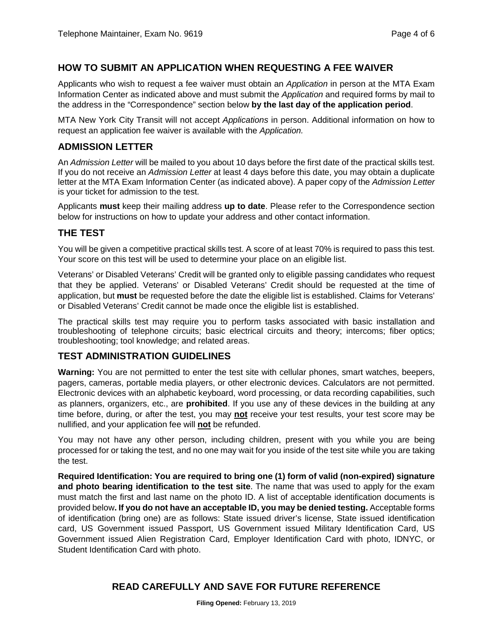#### **HOW TO SUBMIT AN APPLICATION WHEN REQUESTING A FEE WAIVER**

Applicants who wish to request a fee waiver must obtain an *Application* in person at the MTA Exam Information Center as indicated above and must submit the *Application* and required forms by mail to the address in the "Correspondence" section below **by the last day of the application period**.

MTA New York City Transit will not accept *Applications* in person. Additional information on how to request an application fee waiver is available with the *Application.*

#### **ADMISSION LETTER**

An *Admission Letter* will be mailed to you about 10 days before the first date of the practical skills test. If you do not receive an *Admission Letter* at least 4 days before this date, you may obtain a duplicate letter at the MTA Exam Information Center (as indicated above). A paper copy of the *Admission Letter* is your ticket for admission to the test.

Applicants **must** keep their mailing address **up to date**. Please refer to the Correspondence section below for instructions on how to update your address and other contact information.

#### **THE TEST**

You will be given a competitive practical skills test. A score of at least 70% is required to pass this test. Your score on this test will be used to determine your place on an eligible list.

Veterans' or Disabled Veterans' Credit will be granted only to eligible passing candidates who request that they be applied. Veterans' or Disabled Veterans' Credit should be requested at the time of application, but **must** be requested before the date the eligible list is established. Claims for Veterans' or Disabled Veterans' Credit cannot be made once the eligible list is established.

The practical skills test may require you to perform tasks associated with basic installation and troubleshooting of telephone circuits; basic electrical circuits and theory; intercoms; fiber optics; troubleshooting; tool knowledge; and related areas.

#### **TEST ADMINISTRATION GUIDELINES**

**Warning:** You are not permitted to enter the test site with cellular phones, smart watches, beepers, pagers, cameras, portable media players, or other electronic devices. Calculators are not permitted. Electronic devices with an alphabetic keyboard, word processing, or data recording capabilities, such as planners, organizers, etc., are **prohibited**. If you use any of these devices in the building at any time before, during, or after the test, you may **not** receive your test results, your test score may be nullified, and your application fee will **not** be refunded.

You may not have any other person, including children, present with you while you are being processed for or taking the test, and no one may wait for you inside of the test site while you are taking the test.

**Required Identification: You are required to bring one (1) form of valid (non-expired) signature and photo bearing identification to the test site**. The name that was used to apply for the exam must match the first and last name on the photo ID. A list of acceptable identification documents is provided below**. If you do not have an acceptable ID, you may be denied testing.** Acceptable forms of identification (bring one) are as follows: State issued driver's license, State issued identification card, US Government issued Passport, US Government issued Military Identification Card, US Government issued Alien Registration Card, Employer Identification Card with photo, IDNYC, or Student Identification Card with photo.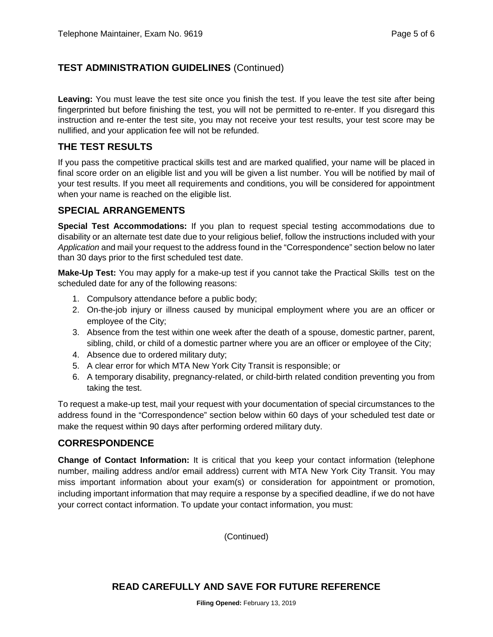### **TEST ADMINISTRATION GUIDELINES** (Continued)

**Leaving:** You must leave the test site once you finish the test. If you leave the test site after being fingerprinted but before finishing the test, you will not be permitted to re-enter. If you disregard this instruction and re-enter the test site, you may not receive your test results, your test score may be nullified, and your application fee will not be refunded.

#### **THE TEST RESULTS**

If you pass the competitive practical skills test and are marked qualified, your name will be placed in final score order on an eligible list and you will be given a list number. You will be notified by mail of your test results. If you meet all requirements and conditions, you will be considered for appointment when your name is reached on the eligible list.

#### **SPECIAL ARRANGEMENTS**

**Special Test Accommodations:** If you plan to request special testing accommodations due to disability or an alternate test date due to your religious belief, follow the instructions included with your *Application* and mail your request to the address found in the "Correspondence" section below no later than 30 days prior to the first scheduled test date.

**Make-Up Test:** You may apply for a make-up test if you cannot take the Practical Skills test on the scheduled date for any of the following reasons:

- 1. Compulsory attendance before a public body;
- 2. On-the-job injury or illness caused by municipal employment where you are an officer or employee of the City;
- 3. Absence from the test within one week after the death of a spouse, domestic partner, parent, sibling, child, or child of a domestic partner where you are an officer or employee of the City;
- 4. Absence due to ordered military duty;
- 5. A clear error for which MTA New York City Transit is responsible; or
- 6. A temporary disability, pregnancy-related, or child-birth related condition preventing you from taking the test.

To request a make-up test, mail your request with your documentation of special circumstances to the address found in the "Correspondence" section below within 60 days of your scheduled test date or make the request within 90 days after performing ordered military duty.

#### **CORRESPONDENCE**

**Change of Contact Information:** It is critical that you keep your contact information (telephone number, mailing address and/or email address) current with MTA New York City Transit. You may miss important information about your exam(s) or consideration for appointment or promotion, including important information that may require a response by a specified deadline, if we do not have your correct contact information. To update your contact information, you must:

(Continued)